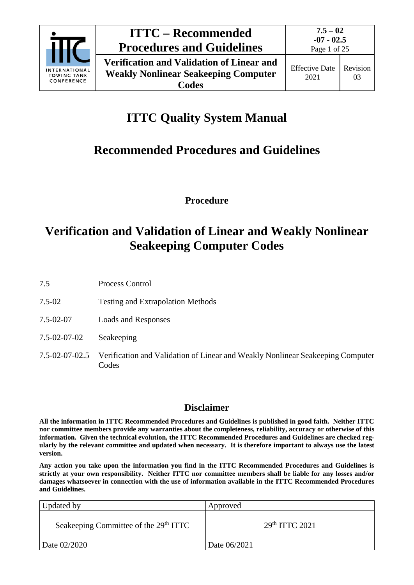

**Codes**

# **ITTC Quality System Manual**

# **Recommended Procedures and Guidelines**

**Procedure**

# **Verification and Validation of Linear and Weakly Nonlinear Seakeeping Computer Codes**

7.5 Process Control

- 7.5-02 Testing and Extrapolation Methods
- 7.5-02-07 Loads and Responses
- 7.5-02-07-02 Seakeeping
- 7.5-02-07-02.5 Verification and Validation of Linear and Weakly Nonlinear Seakeeping Computer Codes

# **Disclaimer**

**All the information in ITTC Recommended Procedures and Guidelines is published in good faith. Neither ITTC nor committee members provide any warranties about the completeness, reliability, accuracy or otherwise of this information. Given the technical evolution, the ITTC Recommended Procedures and Guidelines are checked regularly by the relevant committee and updated when necessary. It is therefore important to always use the latest version.**

**Any action you take upon the information you find in the ITTC Recommended Procedures and Guidelines is strictly at your own responsibility. Neither ITTC nor committee members shall be liable for any losses and/or damages whatsoever in connection with the use of information available in the ITTC Recommended Procedures and Guidelines.**

| Updated by                                        | Approved                   |
|---------------------------------------------------|----------------------------|
| Seakeeping Committee of the 29 <sup>th</sup> ITTC | 29 <sup>th</sup> ITTC 2021 |
| Date 02/2020                                      | Date 06/2021               |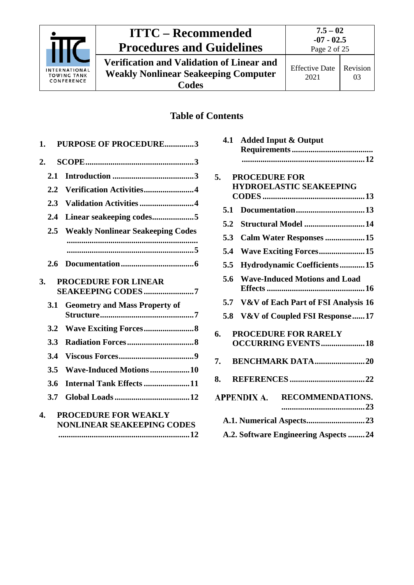

# **ITTC – Recommended Procedures and Guidelines**

**Verification and Validation of Linear and Weakly Nonlinear Seakeeping Computer Codes**

# **Table of Contents**

| 1.            | <b>PURPOSE OF PROCEDURE3</b>                              |
|---------------|-----------------------------------------------------------|
| 2.            |                                                           |
| 2.1           |                                                           |
| 2.2           | Verification Activities4                                  |
| 2.3           | Validation Activities 4                                   |
| 2.4           | Linear seakeeping codes5                                  |
| $2.5^{\circ}$ | <b>Weakly Nonlinear Seakeeping Codes</b>                  |
|               |                                                           |
| $2.6^{\circ}$ |                                                           |
| 3.            | <b>PROCEDURE FOR LINEAR</b><br>SEAKEEPING CODES7          |
| 3.1           | <b>Geometry and Mass Property of</b>                      |
| 3.2           |                                                           |
| 3.3           |                                                           |
| 3.4           |                                                           |
| 3.5           | Wave-Induced Motions10                                    |
| 3.6           | Internal Tank Effects 11                                  |
| 3.7           |                                                           |
| 4.            | PROCEDURE FOR WEAKLY<br><b>NONLINEAR SEAKEEPING CODES</b> |

|    | 4.1 | <b>Added Input &amp; Output</b>               |
|----|-----|-----------------------------------------------|
|    |     |                                               |
|    |     |                                               |
|    |     |                                               |
| 5. |     | <b>PROCEDURE FOR</b>                          |
|    |     | <b>HYDROELASTIC SEAKEEPING</b>                |
|    |     |                                               |
|    | 5.1 |                                               |
|    | 5.2 | <b>Structural Model  14</b>                   |
|    | 5.3 | Calm Water Responses  15                      |
|    | 5.4 | Wave Exciting Forces 15                       |
|    | 5.5 | Hydrodynamic Coefficients 15                  |
|    | 5.6 | <b>Wave-Induced Motions and Load</b>          |
|    |     |                                               |
|    | 5.7 | V&V of Each Part of FSI Analysis 16           |
|    | 5.8 | V&V of Coupled FSI Response17                 |
| 6. |     | <b>PROCEDURE FOR RARELY</b>                   |
|    |     | <b>OCCURRING EVENTS 18</b>                    |
| 7. |     | <b>BENCHMARK DATA20</b>                       |
| 8. |     |                                               |
|    |     | <b>APPENDIX A.</b><br><b>RECOMMENDATIONS.</b> |
|    |     |                                               |
|    |     | A.1. Numerical Aspects23                      |
|    |     | A.2. Software Engineering Aspects  24         |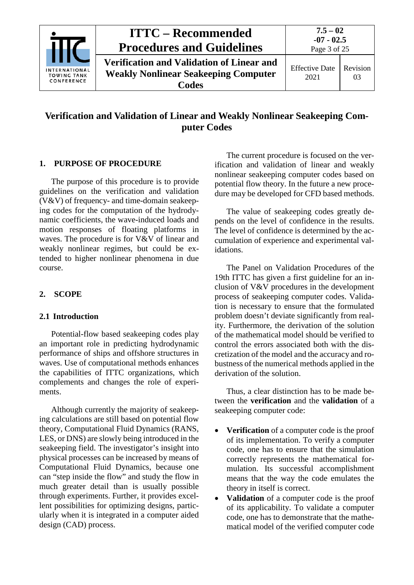

# **Verification and Validation of Linear and Weakly Nonlinear Seakeeping Computer Codes**

### <span id="page-2-0"></span>**1. PURPOSE OF PROCEDURE**

The purpose of this procedure is to provide guidelines on the verification and validation (V&V) of frequency- and time-domain seakeeping codes for the computation of the hydrodynamic coefficients, the wave-induced loads and motion responses of floating platforms in waves. The procedure is for V&V of linear and weakly nonlinear regimes, but could be extended to higher nonlinear phenomena in due course.

# <span id="page-2-2"></span><span id="page-2-1"></span>**2. SCOPE**

#### **2.1 Introduction**

Potential-flow based seakeeping codes play an important role in predicting hydrodynamic performance of ships and offshore structures in waves. Use of computational methods enhances the capabilities of ITTC organizations, which complements and changes the role of experiments.

Although currently the majority of seakeeping calculations are still based on potential flow theory, Computational Fluid Dynamics (RANS, LES, or DNS) are slowly being introduced in the seakeeping field. The investigator's insight into physical processes can be increased by means of Computational Fluid Dynamics, because one can "step inside the flow" and study the flow in much greater detail than is usually possible through experiments. Further, it provides excellent possibilities for optimizing designs, particularly when it is integrated in a computer aided design (CAD) process.

The current procedure is focused on the verification and validation of linear and weakly nonlinear seakeeping computer codes based on potential flow theory. In the future a new procedure may be developed for CFD based methods.

The value of seakeeping codes greatly depends on the level of confidence in the results. The level of confidence is determined by the accumulation of experience and experimental validations.

The Panel on Validation Procedures of the 19th ITTC has given a first guideline for an inclusion of V&V procedures in the development process of seakeeping computer codes. Validation is necessary to ensure that the formulated problem doesn't deviate significantly from reality. Furthermore, the derivation of the solution of the mathematical model should be verified to control the errors associated both with the discretization of the model and the accuracy and robustness of the numerical methods applied in the derivation of the solution.

Thus, a clear distinction has to be made between the **verification** and the **validation** of a seakeeping computer code:

- **Verification** of a computer code is the proof of its implementation. To verify a computer code, one has to ensure that the simulation correctly represents the mathematical formulation. Its successful accomplishment means that the way the code emulates the theory in itself is correct.
- **Validation** of a computer code is the proof of its applicability. To validate a computer code, one has to demonstrate that the mathematical model of the verified computer code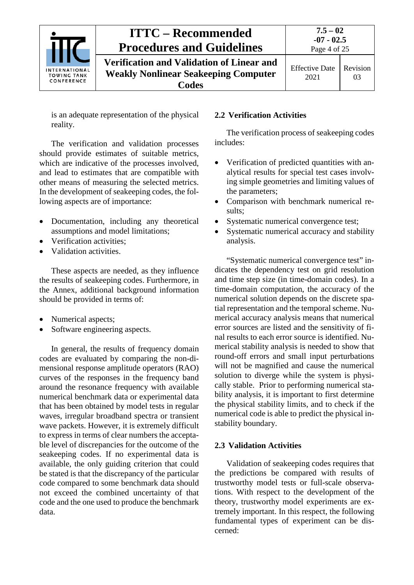

is an adequate representation of the physical reality.

The verification and validation processes should provide estimates of suitable metrics, which are indicative of the processes involved, and lead to estimates that are compatible with other means of measuring the selected metrics. In the development of seakeeping codes, the following aspects are of importance:

- Documentation, including any theoretical assumptions and model limitations;
- Verification activities;
- Validation activities.

These aspects are needed, as they influence the results of seakeeping codes. Furthermore, in the Annex, additional background information should be provided in terms of:

- Numerical aspects;
- Software engineering aspects.

In general, the results of frequency domain codes are evaluated by comparing the non-dimensional response amplitude operators (RAO) curves of the responses in the frequency band around the resonance frequency with available numerical benchmark data or experimental data that has been obtained by model tests in regular waves, irregular broadband spectra or transient wave packets. However, it is extremely difficult to express in terms of clear numbers the acceptable level of discrepancies for the outcome of the seakeeping codes. If no experimental data is available, the only guiding criterion that could be stated is that the discrepancy of the particular code compared to some benchmark data should not exceed the combined uncertainty of that code and the one used to produce the benchmark data.

#### <span id="page-3-0"></span>**2.2 Verification Activities**

The verification process of seakeeping codes includes:

- Verification of predicted quantities with analytical results for special test cases involving simple geometries and limiting values of the parameters;
- Comparison with benchmark numerical results;
- Systematic numerical convergence test;
- Systematic numerical accuracy and stability analysis.

"Systematic numerical convergence test" indicates the dependency test on grid resolution and time step size (in time-domain codes). In a time-domain computation, the accuracy of the numerical solution depends on the discrete spatial representation and the temporal scheme. Numerical accuracy analysis means that numerical error sources are listed and the sensitivity of final results to each error source is identified. Numerical stability analysis is needed to show that round-off errors and small input perturbations will not be magnified and cause the numerical solution to diverge while the system is physically stable. Prior to performing numerical stability analysis, it is important to first determine the physical stability limits, and to check if the numerical code is able to predict the physical instability boundary.

# <span id="page-3-1"></span>**2.3 Validation Activities**

Validation of seakeeping codes requires that the predictions be compared with results of trustworthy model tests or full-scale observations. With respect to the development of the theory, trustworthy model experiments are extremely important. In this respect, the following fundamental types of experiment can be discerned: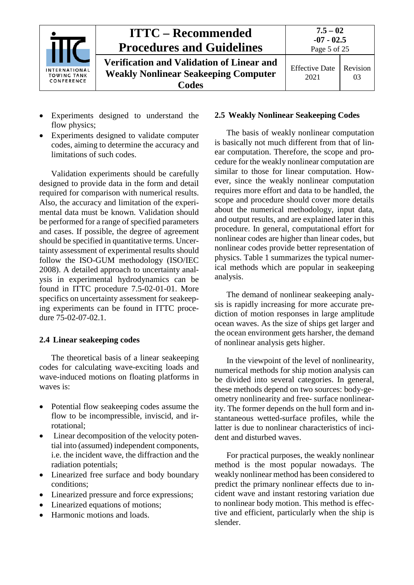

- Experiments designed to understand the flow physics;
- Experiments designed to validate computer codes, aiming to determine the accuracy and limitations of such codes.

Validation experiments should be carefully designed to provide data in the form and detail required for comparison with numerical results. Also, the accuracy and limitation of the experimental data must be known. Validation should be performed for a range of specified parameters and cases. If possible, the degree of agreement should be specified in quantitative terms. Uncertainty assessment of experimental results should follow the ISO-GUM methodology (ISO/IEC 2008). A detailed approach to uncertainty analysis in experimental hydrodynamics can be found in ITTC procedure 7.5-02-01-01. More specifics on uncertainty assessment for seakeeping experiments can be found in ITTC procedure 75-02-07-02.1.

#### <span id="page-4-0"></span>**2.4 Linear seakeeping codes**

The theoretical basis of a linear seakeeping codes for calculating wave-exciting loads and wave-induced motions on floating platforms in waves is:

- Potential flow seakeeping codes assume the flow to be incompressible, inviscid, and irrotational;
- Linear decomposition of the velocity potential into (assumed) independent components, i.e. the incident wave, the diffraction and the radiation potentials;
- Linearized free surface and body boundary conditions;
- Linearized pressure and force expressions;
- Linearized equations of motions;
- Harmonic motions and loads.

## <span id="page-4-1"></span>**2.5 Weakly Nonlinear Seakeeping Codes**

The basis of weakly nonlinear computation is basically not much different from that of linear computation. Therefore, the scope and procedure for the weakly nonlinear computation are similar to those for linear computation. However, since the weakly nonlinear computation requires more effort and data to be handled, the scope and procedure should cover more details about the numerical methodology, input data, and output results, and are explained later in this procedure. In general, computational effort for nonlinear codes are higher than linear codes, but nonlinear codes provide better representation of physics. Table 1 summarizes the typical numerical methods which are popular in seakeeping analysis.

The demand of nonlinear seakeeping analysis is rapidly increasing for more accurate prediction of motion responses in large amplitude ocean waves. As the size of ships get larger and the ocean environment gets harsher, the demand of nonlinear analysis gets higher.

In the viewpoint of the level of nonlinearity, numerical methods for ship motion analysis can be divided into several categories. In general, these methods depend on two sources: body-geometry nonlinearity and free- surface nonlinearity. The former depends on the hull form and instantaneous wetted-surface profiles, while the latter is due to nonlinear characteristics of incident and disturbed waves.

For practical purposes, the weakly nonlinear method is the most popular nowadays. The weakly nonlinear method has been considered to predict the primary nonlinear effects due to incident wave and instant restoring variation due to nonlinear body motion. This method is effective and efficient, particularly when the ship is slender.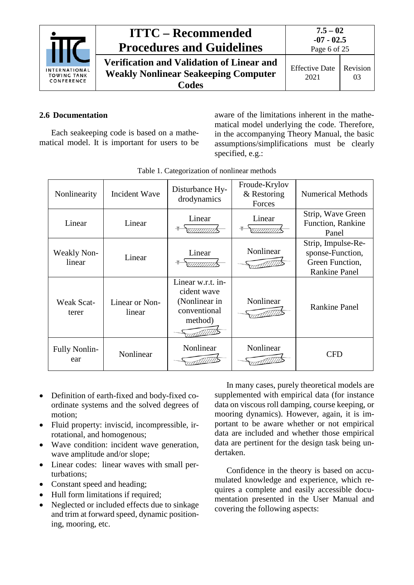

## <span id="page-5-0"></span>**2.6 Documentation**

Each seakeeping code is based on a mathematical model. It is important for users to be

aware of the limitations inherent in the mathematical model underlying the code. Therefore, in the accompanying Theory Manual, the basic assumptions/simplifications must be clearly specified, e.g.:

| Nonlinearity                 | <b>Incident Wave</b>     | Disturbance Hy-<br>drodynamics                                               | Froude-Krylov<br>& Restoring<br>Forces | <b>Numerical Methods</b>                                                          |
|------------------------------|--------------------------|------------------------------------------------------------------------------|----------------------------------------|-----------------------------------------------------------------------------------|
| Linear                       | Linear                   | Linear                                                                       | Linear<br>777777777                    | Strip, Wave Green<br>Function, Rankine<br>Panel                                   |
| <b>Weakly Non-</b><br>linear | Linear                   | Linear                                                                       | Nonlinear                              | Strip, Impulse-Re-<br>sponse-Function,<br>Green Function,<br><b>Rankine Panel</b> |
| <b>Weak Scat-</b><br>terer   | Linear or Non-<br>linear | Linear w.r.t. in-<br>cident wave<br>(Nonlinear in<br>conventional<br>method) | Nonlinear                              | <b>Rankine Panel</b>                                                              |
| <b>Fully Nonlin-</b><br>ear  | Nonlinear                | Nonlinear                                                                    | Nonlinear                              | CFD                                                                               |

| Table 1. Categorization of nonlinear methods |  |
|----------------------------------------------|--|
|----------------------------------------------|--|

- Definition of earth-fixed and body-fixed coordinate systems and the solved degrees of motion;
- Fluid property: inviscid, incompressible, irrotational, and homogenous;
- Wave condition: incident wave generation, wave amplitude and/or slope;
- Linear codes: linear waves with small perturbations;
- Constant speed and heading;
- Hull form limitations if required;
- Neglected or included effects due to sinkage and trim at forward speed, dynamic positioning, mooring, etc.

In many cases, purely theoretical models are supplemented with empirical data (for instance data on viscous roll damping, course keeping, or mooring dynamics). However, again, it is important to be aware whether or not empirical data are included and whether those empirical data are pertinent for the design task being undertaken.

Confidence in the theory is based on accumulated knowledge and experience, which requires a complete and easily accessible documentation presented in the User Manual and covering the following aspects: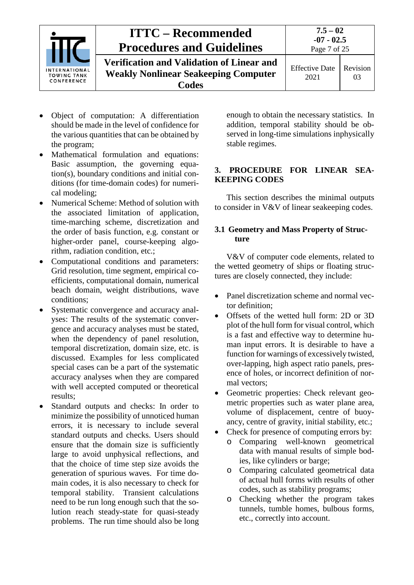|                                                   | <b>ITTC – Recommended</b><br><b>Procedures and Guidelines</b>                                            | $7.5 - 02$<br>$-07 - 02.5$<br>Page 7 of 25 |                |
|---------------------------------------------------|----------------------------------------------------------------------------------------------------------|--------------------------------------------|----------------|
| INTERNATIONAL<br><b>TOWING TANK</b><br>CONFERENCE | <b>Verification and Validation of Linear and</b><br><b>Weakly Nonlinear Seakeeping Computer</b><br>Codes | <b>Effective Date</b><br>2021              | Revision<br>03 |

- Object of computation: A differentiation should be made in the level of confidence for the various quantities that can be obtained by the program;
- Mathematical formulation and equations: Basic assumption, the governing equation(s), boundary conditions and initial conditions (for time-domain codes) for numerical modeling;
- Numerical Scheme: Method of solution with the associated limitation of application, time-marching scheme, discretization and the order of basis function, e.g. constant or higher-order panel, course-keeping algorithm, radiation condition, etc.;
- Computational conditions and parameters: Grid resolution, time segment, empirical coefficients, computational domain, numerical beach domain, weight distributions, wave conditions;
- Systematic convergence and accuracy analyses: The results of the systematic convergence and accuracy analyses must be stated, when the dependency of panel resolution, temporal discretization, domain size, etc. is discussed. Examples for less complicated special cases can be a part of the systematic accuracy analyses when they are compared with well accepted computed or theoretical results;
- Standard outputs and checks: In order to minimize the possibility of unnoticed human errors, it is necessary to include several standard outputs and checks. Users should ensure that the domain size is sufficiently large to avoid unphysical reflections, and that the choice of time step size avoids the generation of spurious waves. For time domain codes, it is also necessary to check for temporal stability. Transient calculations need to be run long enough such that the solution reach steady-state for quasi-steady problems. The run time should also be long

enough to obtain the necessary statistics. In addition, temporal stability should be observed in long-time simulations inphysically stable regimes.

# <span id="page-6-0"></span>**3. PROCEDURE FOR LINEAR SEA-KEEPING CODES**

This section describes the minimal outputs to consider in V&V of linear seakeeping codes.

# <span id="page-6-1"></span>**3.1 Geometry and Mass Property of Structure**

V&V of computer code elements, related to the wetted geometry of ships or floating structures are closely connected, they include:

- Panel discretization scheme and normal vector definition;
- Offsets of the wetted hull form: 2D or 3D plot of the hull form for visual control, which is a fast and effective way to determine human input errors. It is desirable to have a function for warnings of excessively twisted, over-lapping, high aspect ratio panels, presence of holes, or incorrect definition of normal vectors;
- Geometric properties: Check relevant geometric properties such as water plane area, volume of displacement, centre of buoyancy, centre of gravity, initial stability, etc.;
- Check for presence of computing errors by:
	- o Comparing well-known geometrical data with manual results of simple bodies, like cylinders or barge;
	- o Comparing calculated geometrical data of actual hull forms with results of other codes, such as stability programs;
	- o Checking whether the program takes tunnels, tumble homes, bulbous forms, etc., correctly into account.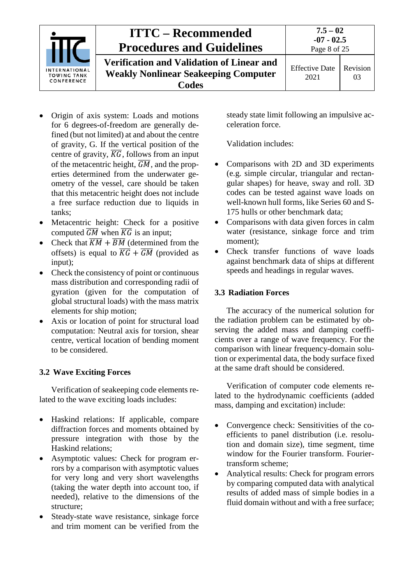

- Origin of axis system: Loads and motions for 6 degrees-of-freedom are generally defined (but not limited) at and about the centre of gravity, G*.* If the vertical position of the centre of gravity,  $\overline{KG}$ , follows from an input of the metacentric height,  $GM$ , and the properties determined from the underwater geometry of the vessel, care should be taken that this metacentric height does not include a free surface reduction due to liquids in tanks;
- Metacentric height: Check for a positive computed  $GM$  when  $KG$  is an input;
- Check that  $\overline{KM}$  +  $\overline{BM}$  (determined from the offsets) is equal to  $\overline{KG} + \overline{GM}$  (provided as input);
- Check the consistency of point or continuous mass distribution and corresponding radii of gyration (given for the computation of global structural loads) with the mass matrix elements for ship motion;
- Axis or location of point for structural load computation: Neutral axis for torsion, shear centre, vertical location of bending moment to be considered.

# <span id="page-7-0"></span>**3.2 Wave Exciting Forces**

Verification of seakeeping code elements related to the wave exciting loads includes:

- Haskind relations: If applicable, compare diffraction forces and moments obtained by pressure integration with those by the Haskind relations;
- Asymptotic values: Check for program errors by a comparison with asymptotic values for very long and very short wavelengths (taking the water depth into account too, if needed), relative to the dimensions of the structure;
- Steady-state wave resistance, sinkage force and trim moment can be verified from the

steady state limit following an impulsive acceleration force.

Validation includes:

- Comparisons with 2D and 3D experiments (e.g. simple circular, triangular and rectangular shapes) for heave, sway and roll. 3D codes can be tested against wave loads on well-known hull forms, like Series 60 and S-175 hulls or other benchmark data;
- Comparisons with data given forces in calm water (resistance, sinkage force and trim moment);
- Check transfer functions of wave loads against benchmark data of ships at different speeds and headings in regular waves.

# <span id="page-7-1"></span>**3.3 Radiation Forces**

The accuracy of the numerical solution for the radiation problem can be estimated by observing the added mass and damping coefficients over a range of wave frequency. For the comparison with linear frequency-domain solution or experimental data, the body surface fixed at the same draft should be considered.

Verification of computer code elements related to the hydrodynamic coefficients (added mass, damping and excitation) include:

- Convergence check: Sensitivities of the coefficients to panel distribution (i.e. resolution and domain size), time segment, time window for the Fourier transform. Fouriertransform scheme;
- Analytical results: Check for program errors by comparing computed data with analytical results of added mass of simple bodies in a fluid domain without and with a free surface;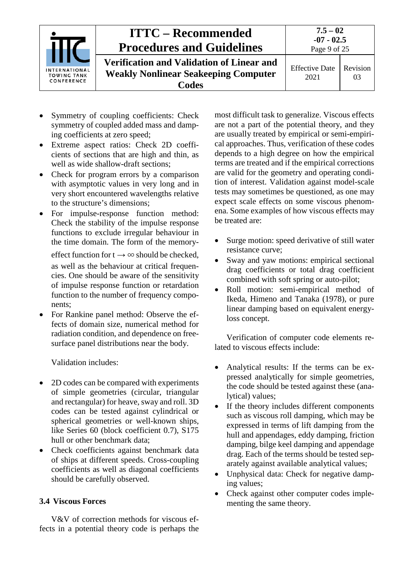

- Symmetry of coupling coefficients: Check symmetry of coupled added mass and damping coefficients at zero speed;
- Extreme aspect ratios: Check 2D coefficients of sections that are high and thin, as well as wide shallow-draft sections;
- Check for program errors by a comparison with asymptotic values in very long and in very short encountered wavelengths relative to the structure's dimensions;
- For impulse-response function method: Check the stability of the impulse response functions to exclude irregular behaviour in the time domain. The form of the memoryeffect function for  $t \rightarrow \infty$  should be checked, as well as the behaviour at critical frequencies. One should be aware of the sensitivity of impulse response function or retardation function to the number of frequency components;
- For Rankine panel method: Observe the effects of domain size, numerical method for radiation condition, and dependence on freesurface panel distributions near the body.

Validation includes:

- 2D codes can be compared with experiments of simple geometries (circular, triangular and rectangular) for heave, sway and roll. 3D codes can be tested against cylindrical or spherical geometries or well-known ships, like Series 60 (block coefficient 0.7), S175 hull or other benchmark data;
- Check coefficients against benchmark data of ships at different speeds. Cross-coupling coefficients as well as diagonal coefficients should be carefully observed.

#### <span id="page-8-0"></span>**3.4 Viscous Forces**

V&V of correction methods for viscous effects in a potential theory code is perhaps the

most difficult task to generalize. Viscous effects are not a part of the potential theory, and they are usually treated by empirical or semi-empirical approaches. Thus, verification of these codes depends to a high degree on how the empirical terms are treated and if the empirical corrections are valid for the geometry and operating condition of interest. Validation against model-scale tests may sometimes be questioned, as one may expect scale effects on some viscous phenomena. Some examples of how viscous effects may be treated are:

- Surge motion: speed derivative of still water resistance curve;
- Sway and yaw motions: empirical sectional drag coefficients or total drag coefficient combined with soft spring or auto-pilot;
- Roll motion: semi-empirical method of Ikeda, Himeno and Tanaka (1978), or pure linear damping based on equivalent energyloss concept.

Verification of computer code elements related to viscous effects include:

- Analytical results: If the terms can be expressed analytically for simple geometries, the code should be tested against these (analytical) values;
- If the theory includes different components such as viscous roll damping, which may be expressed in terms of lift damping from the hull and appendages, eddy damping, friction damping, bilge keel damping and appendage drag. Each of the terms should be tested separately against available analytical values;
- Unphysical data: Check for negative damping values;
- Check against other computer codes implementing the same theory.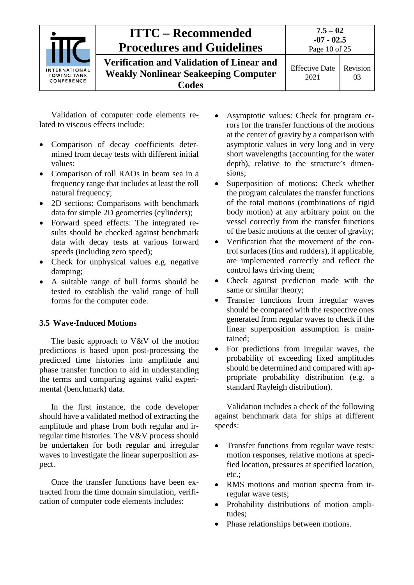

Validation of computer code elements related to viscous effects include:

- Comparison of decay coefficients determined from decay tests with different initial values;
- Comparison of roll RAOs in beam sea in a frequency range that includes at least the roll natural frequency;
- 2D sections: Comparisons with benchmark data for simple 2D geometries (cylinders);
- Forward speed effects: The integrated results should be checked against benchmark data with decay tests at various forward speeds (including zero speed);
- Check for unphysical values e.g. negative damping;
- A suitable range of hull forms should be tested to establish the valid range of hull forms for the computer code.

#### <span id="page-9-0"></span>**3.5 Wave-Induced Motions**

The basic approach to V&V of the motion predictions is based upon post-processing the predicted time histories into amplitude and phase transfer function to aid in understanding the terms and comparing against valid experimental (benchmark) data.

In the first instance, the code developer should have a validated method of extracting the amplitude and phase from both regular and irregular time histories. The V&V process should be undertaken for both regular and irregular waves to investigate the linear superposition aspect.

Once the transfer functions have been extracted from the time domain simulation, verification of computer code elements includes:

- Asymptotic values: Check for program errors for the transfer functions of the motions at the center of gravity by a comparison with asymptotic values in very long and in very short wavelengths (accounting for the water depth), relative to the structure's dimensions;
- Superposition of motions: Check whether the program calculates the transfer functions of the total motions (combinations of rigid body motion) at any arbitrary point on the vessel correctly from the transfer functions of the basic motions at the center of gravity;
- Verification that the movement of the control surfaces (fins and rudders), if applicable, are implemented correctly and reflect the control laws driving them;
- Check against prediction made with the same or similar theory;
- Transfer functions from irregular waves should be compared with the respective ones generated from regular waves to check if the linear superposition assumption is maintained;
- For predictions from irregular waves, the probability of exceeding fixed amplitudes should be determined and compared with appropriate probability distribution (e.g. a standard Rayleigh distribution).

Validation includes a check of the following against benchmark data for ships at different speeds:

- Transfer functions from regular wave tests: motion responses, relative motions at specified location, pressures at specified location, etc.;
- RMS motions and motion spectra from irregular wave tests;
- Probability distributions of motion amplitudes;
- Phase relationships between motions.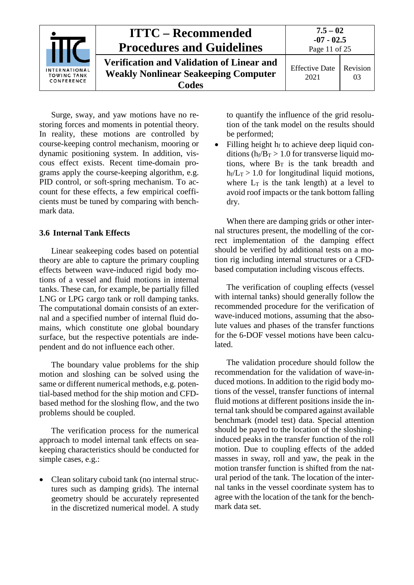

Surge, sway, and yaw motions have no restoring forces and moments in potential theory. In reality, these motions are controlled by course-keeping control mechanism, mooring or dynamic positioning system. In addition, viscous effect exists. Recent time-domain programs apply the course-keeping algorithm, e.g. PID control, or soft-spring mechanism. To account for these effects, a few empirical coefficients must be tuned by comparing with benchmark data.

### <span id="page-10-0"></span>**3.6 Internal Tank Effects**

Linear seakeeping codes based on potential theory are able to capture the primary coupling effects between wave-induced rigid body motions of a vessel and fluid motions in internal tanks. These can, for example, be partially filled LNG or LPG cargo tank or roll damping tanks. The computational domain consists of an external and a specified number of internal fluid domains, which constitute one global boundary surface, but the respective potentials are independent and do not influence each other.

The boundary value problems for the ship motion and sloshing can be solved using the same or different numerical methods, e.g. potential-based method for the ship motion and CFDbased method for the sloshing flow, and the two problems should be coupled.

The verification process for the numerical approach to model internal tank effects on seakeeping characteristics should be conducted for simple cases, e.g.:

• Clean solitary cuboid tank (no internal structures such as damping grids). The internal geometry should be accurately represented in the discretized numerical model. A study to quantify the influence of the grid resolution of the tank model on the results should be performed;

• Filling height  $h_f$  to achieve deep liquid conditions ( $h_f/B_T > 1.0$  for transverse liquid motions, where  $B_T$  is the tank breadth and  $h_f/L_T > 1.0$  for longitudinal liquid motions, where  $L_T$  is the tank length) at a level to avoid roof impacts or the tank bottom falling dry.

When there are damping grids or other internal structures present, the modelling of the correct implementation of the damping effect should be verified by additional tests on a motion rig including internal structures or a CFDbased computation including viscous effects.

The verification of coupling effects (vessel with internal tanks) should generally follow the recommended procedure for the verification of wave-induced motions, assuming that the absolute values and phases of the transfer functions for the 6-DOF vessel motions have been calculated.

The validation procedure should follow the recommendation for the validation of wave-induced motions. In addition to the rigid body motions of the vessel, transfer functions of internal fluid motions at different positions inside the internal tank should be compared against available benchmark (model test) data. Special attention should be payed to the location of the sloshinginduced peaks in the transfer function of the roll motion. Due to coupling effects of the added masses in sway, roll and yaw, the peak in the motion transfer function is shifted from the natural period of the tank. The location of the internal tanks in the vessel coordinate system has to agree with the location of the tank for the benchmark data set.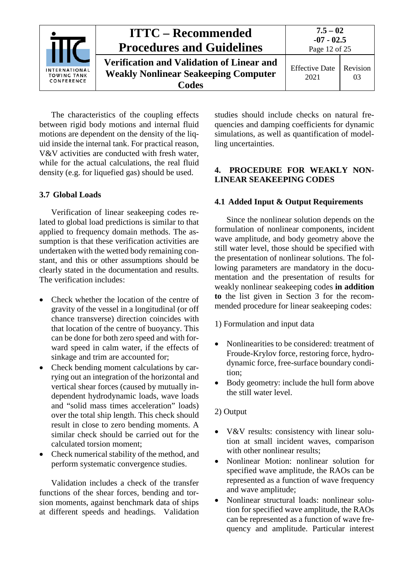

The characteristics of the coupling effects between rigid body motions and internal fluid motions are dependent on the density of the liquid inside the internal tank. For practical reason, V&V activities are conducted with fresh water, while for the actual calculations, the real fluid density (e.g. for liquefied gas) should be used.

### <span id="page-11-0"></span>**3.7 Global Loads**

Verification of linear seakeeping codes related to global load predictions is similar to that applied to frequency domain methods. The assumption is that these verification activities are undertaken with the wetted body remaining constant, and this or other assumptions should be clearly stated in the documentation and results. The verification includes:

- Check whether the location of the centre of gravity of the vessel in a longitudinal (or off chance transverse) direction coincides with that location of the centre of buoyancy. This can be done for both zero speed and with forward speed in calm water, if the effects of sinkage and trim are accounted for;
- Check bending moment calculations by carrying out an integration of the horizontal and vertical shear forces (caused by mutually independent hydrodynamic loads, wave loads and "solid mass times acceleration" loads) over the total ship length. This check should result in close to zero bending moments. A similar check should be carried out for the calculated torsion moment;
- Check numerical stability of the method, and perform systematic convergence studies.

Validation includes a check of the transfer functions of the shear forces, bending and torsion moments, against benchmark data of ships at different speeds and headings. Validation studies should include checks on natural frequencies and damping coefficients for dynamic simulations, as well as quantification of modelling uncertainties.

### <span id="page-11-1"></span>**4. PROCEDURE FOR WEAKLY NON-LINEAR SEAKEEPING CODES**

### <span id="page-11-2"></span>**4.1 Added Input & Output Requirements**

Since the nonlinear solution depends on the formulation of nonlinear components, incident wave amplitude, and body geometry above the still water level, those should be specified with the presentation of nonlinear solutions. The following parameters are mandatory in the documentation and the presentation of results for weakly nonlinear seakeeping codes **in addition to** the list given in Section 3 for the recommended procedure for linear seakeeping codes:

- 1) Formulation and input data
- Nonlinearities to be considered: treatment of Froude-Krylov force, restoring force, hydrodynamic force, free-surface boundary condition;
- Body geometry: include the hull form above the still water level.

# 2) Output

- V&V results: consistency with linear solution at small incident waves, comparison with other nonlinear results:
- Nonlinear Motion: nonlinear solution for specified wave amplitude, the RAOs can be represented as a function of wave frequency and wave amplitude;
- Nonlinear structural loads: nonlinear solution for specified wave amplitude, the RAOs can be represented as a function of wave frequency and amplitude. Particular interest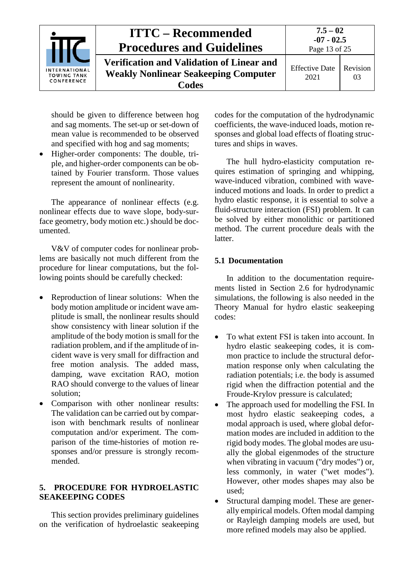

should be given to difference between hog and sag moments. The set-up or set-down of mean value is recommended to be observed and specified with hog and sag moments;

• Higher-order components: The double, triple, and higher-order components can be obtained by Fourier transform. Those values represent the amount of nonlinearity.

The appearance of nonlinear effects (e.g. nonlinear effects due to wave slope, body-surface geometry, body motion etc.) should be documented.

V&V of computer codes for nonlinear problems are basically not much different from the procedure for linear computations, but the following points should be carefully checked:

- Reproduction of linear solutions: When the body motion amplitude or incident wave amplitude is small, the nonlinear results should show consistency with linear solution if the amplitude of the body motion is small for the radiation problem, and if the amplitude of incident wave is very small for diffraction and free motion analysis. The added mass, damping, wave excitation RAO, motion RAO should converge to the values of linear solution;
- Comparison with other nonlinear results: The validation can be carried out by comparison with benchmark results of nonlinear computation and/or experiment. The comparison of the time-histories of motion responses and/or pressure is strongly recommended.

### <span id="page-12-0"></span>**5. PROCEDURE FOR HYDROELASTIC SEAKEEPING CODES**

This section provides preliminary guidelines on the verification of hydroelastic seakeeping codes for the computation of the hydrodynamic coefficients, the wave-induced loads, motion responses and global load effects of floating structures and ships in waves.

The hull hydro-elasticity computation requires estimation of springing and whipping, wave-induced vibration, combined with waveinduced motions and loads. In order to predict a hydro elastic response, it is essential to solve a fluid-structure interaction (FSI) problem. It can be solved by either monolithic or partitioned method. The current procedure deals with the latter.

# <span id="page-12-1"></span>**5.1 Documentation**

In addition to the documentation requirements listed in Section 2.6 for hydrodynamic simulations, the following is also needed in the Theory Manual for hydro elastic seakeeping codes:

- To what extent FSI is taken into account. In hydro elastic seakeeping codes, it is common practice to include the structural deformation response only when calculating the radiation potentials; i.e. the body is assumed rigid when the diffraction potential and the Froude-Krylov pressure is calculated;
- The approach used for modelling the FSI. In most hydro elastic seakeeping codes, a modal approach is used, where global deformation modes are included in addition to the rigid body modes. The global modes are usually the global eigenmodes of the structure when vibrating in vacuum ("dry modes") or, less commonly, in water ("wet modes"). However, other modes shapes may also be used;
- Structural damping model. These are generally empirical models. Often modal damping or Rayleigh damping models are used, but more refined models may also be applied.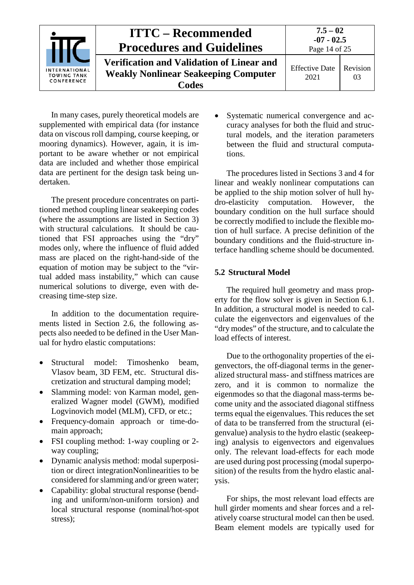| INTERNATIONAL<br><b>TOWING TANK</b><br>CONFERENCE | <b>ITTC – Recommended</b><br><b>Procedures and Guidelines</b>                                            | $7.5 - 02$<br>$-07 - 02.5$<br>Page 14 of 25 |                |
|---------------------------------------------------|----------------------------------------------------------------------------------------------------------|---------------------------------------------|----------------|
|                                                   | <b>Verification and Validation of Linear and</b><br><b>Weakly Nonlinear Seakeeping Computer</b><br>Codes | <b>Effective Date</b><br>2021               | Revision<br>03 |

In many cases, purely theoretical models are supplemented with empirical data (for instance data on viscous roll damping, course keeping, or mooring dynamics). However, again, it is important to be aware whether or not empirical data are included and whether those empirical data are pertinent for the design task being undertaken.

The present procedure concentrates on partitioned method coupling linear seakeeping codes (where the assumptions are listed in Section 3) with structural calculations. It should be cautioned that FSI approaches using the "dry" modes only, where the influence of fluid added mass are placed on the right-hand-side of the equation of motion may be subject to the "virtual added mass instability," which can cause numerical solutions to diverge, even with decreasing time-step size.

In addition to the documentation requirements listed in Section 2.6, the following aspects also needed to be defined in the User Manual for hydro elastic computations:

- Structural model: Timoshenko beam, Vlasov beam, 3D FEM, etc. Structural discretization and structural damping model;
- Slamming model: von Karman model, generalized Wagner model (GWM), modified Logvinovich model (MLM), CFD, or etc.;
- Frequency-domain approach or time-domain approach;
- FSI coupling method: 1-way coupling or 2 way coupling;
- Dynamic analysis method: modal superposition or direct integrationNonlinearities to be considered for slamming and/or green water;
- Capability: global structural response (bending and uniform/non-uniform torsion) and local structural response (nominal/hot-spot stress);

Systematic numerical convergence and accuracy analyses for both the fluid and structural models, and the iteration parameters between the fluid and structural computations.

The procedures listed in Sections 3 and 4 for linear and weakly nonlinear computations can be applied to the ship motion solver of hull hydro-elasticity computation. However, the boundary condition on the hull surface should be correctly modified to include the flexible motion of hull surface. A precise definition of the boundary conditions and the fluid-structure interface handling scheme should be documented.

# <span id="page-13-0"></span>**5.2 Structural Model**

The required hull geometry and mass property for the flow solver is given in Section 6.1. In addition, a structural model is needed to calculate the eigenvectors and eigenvalues of the "dry modes" of the structure, and to calculate the load effects of interest.

Due to the orthogonality properties of the eigenvectors, the off-diagonal terms in the generalized structural mass- and stiffness matrices are zero, and it is common to normalize the eigenmodes so that the diagonal mass-terms become unity and the associated diagonal stiffness terms equal the eigenvalues. This reduces the set of data to be transferred from the structural (eigenvalue) analysis to the hydro elastic (seakeeping) analysis to eigenvectors and eigenvalues only. The relevant load-effects for each mode are used during post processing (modal superposition) of the results from the hydro elastic analysis.

For ships, the most relevant load effects are hull girder moments and shear forces and a relatively coarse structural model can then be used. Beam element models are typically used for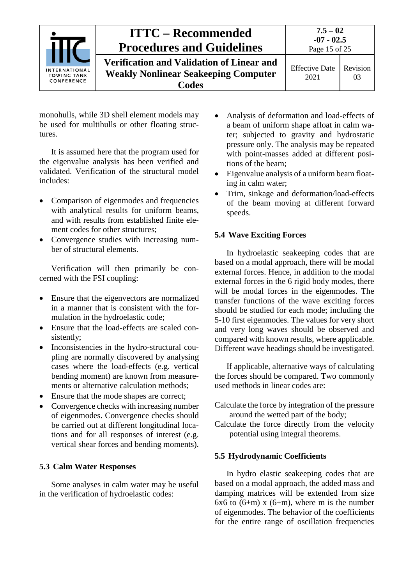

monohulls, while 3D shell element models may be used for multihulls or other floating structures.

It is assumed here that the program used for the eigenvalue analysis has been verified and validated. Verification of the structural model includes:

- Comparison of eigenmodes and frequencies with analytical results for uniform beams, and with results from established finite element codes for other structures;
- Convergence studies with increasing number of structural elements.

Verification will then primarily be concerned with the FSI coupling:

- Ensure that the eigenvectors are normalized in a manner that is consistent with the formulation in the hydroelastic code;
- Ensure that the load-effects are scaled consistently;
- Inconsistencies in the hydro-structural coupling are normally discovered by analysing cases where the load-effects (e.g. vertical bending moment) are known from measurements or alternative calculation methods;
- Ensure that the mode shapes are correct;
- Convergence checks with increasing number of eigenmodes. Convergence checks should be carried out at different longitudinal locations and for all responses of interest (e.g. vertical shear forces and bending moments).

#### <span id="page-14-0"></span>**5.3 Calm Water Responses**

Some analyses in calm water may be useful in the verification of hydroelastic codes:

- Analysis of deformation and load-effects of a beam of uniform shape afloat in calm water; subjected to gravity and hydrostatic pressure only. The analysis may be repeated with point-masses added at different positions of the beam;
- Eigenvalue analysis of a uniform beam floating in calm water;
- Trim, sinkage and deformation/load-effects of the beam moving at different forward speeds.

#### <span id="page-14-1"></span>**5.4 Wave Exciting Forces**

In hydroelastic seakeeping codes that are based on a modal approach, there will be modal external forces. Hence, in addition to the modal external forces in the 6 rigid body modes, there will be modal forces in the eigenmodes. The transfer functions of the wave exciting forces should be studied for each mode; including the 5-10 first eigenmodes. The values for very short and very long waves should be observed and compared with known results, where applicable. Different wave headings should be investigated.

If applicable, alternative ways of calculating the forces should be compared. Two commonly used methods in linear codes are:

- Calculate the force by integration of the pressure around the wetted part of the body;
- Calculate the force directly from the velocity potential using integral theorems.

#### <span id="page-14-2"></span>**5.5 Hydrodynamic Coefficients**

In hydro elastic seakeeping codes that are based on a modal approach, the added mass and damping matrices will be extended from size 6x6 to  $(6+m)$  x  $(6+m)$ , where m is the number of eigenmodes. The behavior of the coefficients for the entire range of oscillation frequencies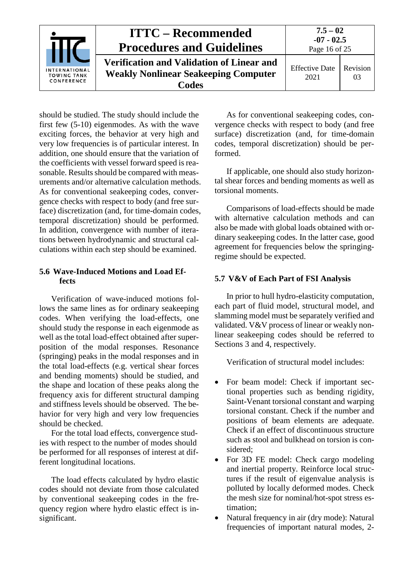

should be studied. The study should include the first few (5-10) eigenmodes. As with the wave exciting forces, the behavior at very high and very low frequencies is of particular interest. In addition, one should ensure that the variation of the coefficients with vessel forward speed is reasonable. Results should be compared with measurements and/or alternative calculation methods. As for conventional seakeeping codes, convergence checks with respect to body (and free surface) discretization (and, for time-domain codes, temporal discretization) should be performed. In addition, convergence with number of iterations between hydrodynamic and structural calculations within each step should be examined.

# <span id="page-15-0"></span>**5.6 Wave-Induced Motions and Load Effects**

Verification of wave-induced motions follows the same lines as for ordinary seakeeping codes. When verifying the load-effects, one should study the response in each eigenmode as well as the total load-effect obtained after superposition of the modal responses. Resonance (springing) peaks in the modal responses and in the total load-effects (e.g. vertical shear forces and bending moments) should be studied, and the shape and location of these peaks along the frequency axis for different structural damping and stiffness levels should be observed. The behavior for very high and very low frequencies should be checked.

For the total load effects, convergence studies with respect to the number of modes should be performed for all responses of interest at different longitudinal locations.

The load effects calculated by hydro elastic codes should not deviate from those calculated by conventional seakeeping codes in the frequency region where hydro elastic effect is insignificant.

As for conventional seakeeping codes, convergence checks with respect to body (and free surface) discretization (and, for time-domain codes, temporal discretization) should be performed.

If applicable, one should also study horizontal shear forces and bending moments as well as torsional moments.

Comparisons of load-effects should be made with alternative calculation methods and can also be made with global loads obtained with ordinary seakeeping codes. In the latter case, good agreement for frequencies below the springingregime should be expected.

### <span id="page-15-1"></span>**5.7 V&V of Each Part of FSI Analysis**

In prior to hull hydro-elasticity computation, each part of fluid model, structural model, and slamming model must be separately verified and validated. V&V process of linear or weakly nonlinear seakeeping codes should be referred to Sections 3 and 4, respectively.

Verification of structural model includes:

- For beam model: Check if important sectional properties such as bending rigidity, Saint-Venant torsional constant and warping torsional constant. Check if the number and positions of beam elements are adequate. Check if an effect of discontinuous structure such as stool and bulkhead on torsion is considered;
- For 3D FE model: Check cargo modeling and inertial property. Reinforce local structures if the result of eigenvalue analysis is polluted by locally deformed modes. Check the mesh size for nominal/hot-spot stress estimation;
- Natural frequency in air (dry mode): Natural frequencies of important natural modes, 2-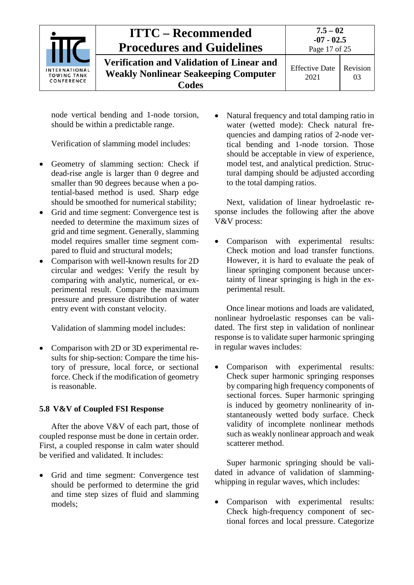

node vertical bending and 1-node torsion, should be within a predictable range.

Verification of slamming model includes:

- Geometry of slamming section: Check if dead-rise angle is larger than 0 degree and smaller than 90 degrees because when a potential-based method is used. Sharp edge should be smoothed for numerical stability;
- Grid and time segment: Convergence test is needed to determine the maximum sizes of grid and time segment. Generally, slamming model requires smaller time segment compared to fluid and structural models;
- Comparison with well-known results for 2D circular and wedges: Verify the result by comparing with analytic, numerical, or experimental result. Compare the maximum pressure and pressure distribution of water entry event with constant velocity.

Validation of slamming model includes:

• Comparison with 2D or 3D experimental results for ship-section: Compare the time history of pressure, local force, or sectional force. Check if the modification of geometry is reasonable.

# <span id="page-16-0"></span>**5.8 V&V of Coupled FSI Response**

After the above V&V of each part, those of coupled response must be done in certain order. First, a coupled response in calm water should be verified and validated. It includes:

• Grid and time segment: Convergence test should be performed to determine the grid and time step sizes of fluid and slamming models;

• Natural frequency and total damping ratio in water (wetted mode): Check natural frequencies and damping ratios of 2-node vertical bending and 1-node torsion. Those should be acceptable in view of experience, model test, and analytical prediction. Structural damping should be adjusted according to the total damping ratios.

Next, validation of linear hydroelastic response includes the following after the above V&V process:

• Comparison with experimental results: Check motion and load transfer functions. However, it is hard to evaluate the peak of linear springing component because uncertainty of linear springing is high in the experimental result.

Once linear motions and loads are validated, nonlinear hydroelastic responses can be validated. The first step in validation of nonlinear response is to validate super harmonic springing in regular waves includes:

• Comparison with experimental results: Check super harmonic springing responses by comparing high frequency components of sectional forces. Super harmonic springing is induced by geometry nonlinearity of instantaneously wetted body surface. Check validity of incomplete nonlinear methods such as weakly nonlinear approach and weak scatterer method.

Super harmonic springing should be validated in advance of validation of slammingwhipping in regular waves, which includes:

• Comparison with experimental results: Check high-frequency component of sectional forces and local pressure. Categorize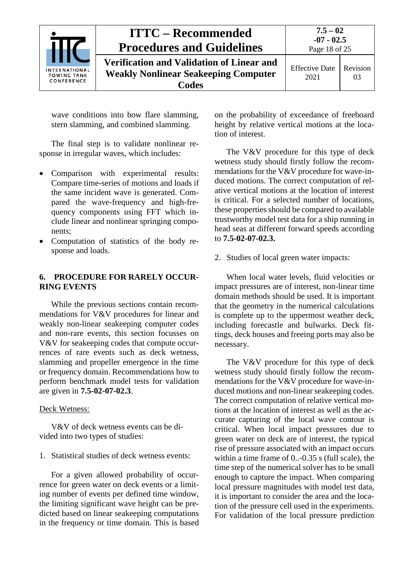

wave conditions into bow flare slamming, stern slamming, and combined slamming.

The final step is to validate nonlinear response in irregular waves, which includes:

- Comparison with experimental results: Compare time-series of motions and loads if the same incident wave is generated. Compared the wave-frequency and high-frequency components using FFT which include linear and nonlinear springing components;
- Computation of statistics of the body response and loads.

#### <span id="page-17-0"></span>**6. PROCEDURE FOR RARELY OCCUR-RING EVENTS**

While the previous sections contain recommendations for V&V procedures for linear and weakly non-linear seakeeping computer codes and non-rare events, this section focusses on V&V for seakeeping codes that compute occurrences of rare events such as deck wetness, slamming and propeller emergence in the time or frequency domain. Recommendations how to perform benchmark model tests for validation are given in **7.5-02-07-02.3**.

#### Deck Wetness:

V&V of deck wetness events can be divided into two types of studies:

1. Statistical studies of deck wetness events:

For a given allowed probability of occurrence for green water on deck events or a limiting number of events per defined time window, the limiting significant wave height can be predicted based on linear seakeeping computations in the frequency or time domain. This is based on the probability of exceedance of freeboard height by relative vertical motions at the location of interest.

The V&V procedure for this type of deck wetness study should firstly follow the recommendations for the V&V procedure for wave-induced motions. The correct computation of relative vertical motions at the location of interest is critical. For a selected number of locations, these properties should be compared to available trustworthy model test data for a ship running in head seas at different forward speeds according to **7.5-02-07-02.3.**

2. Studies of local green water impacts:

When local water levels, fluid velocities or impact pressures are of interest, non-linear time domain methods should be used. It is important that the geometry in the numerical calculations is complete up to the uppermost weather deck, including forecastle and bulwarks. Deck fittings, deck houses and freeing ports may also be necessary.

The V&V procedure for this type of deck wetness study should firstly follow the recommendations for the V&V procedure for wave-induced motions and non-linear seakeeping codes. The correct computation of relative vertical motions at the location of interest as well as the accurate capturing of the local wave contour is critical. When local impact pressures due to green water on deck are of interest, the typical rise of pressure associated with an impact occurs within a time frame of 0..-0.35 s (full scale), the time step of the numerical solver has to be small enough to capture the impact. When comparing local pressure magnitudes with model test data, it is important to consider the area and the location of the pressure cell used in the experiments. For validation of the local pressure prediction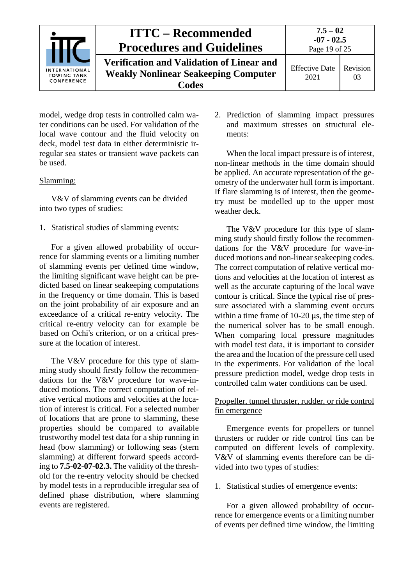

model, wedge drop tests in controlled calm water conditions can be used. For validation of the local wave contour and the fluid velocity on deck, model test data in either deterministic irregular sea states or transient wave packets can be used.

### Slamming:

V&V of slamming events can be divided into two types of studies:

1. Statistical studies of slamming events:

For a given allowed probability of occurrence for slamming events or a limiting number of slamming events per defined time window, the limiting significant wave height can be predicted based on linear seakeeping computations in the frequency or time domain. This is based on the joint probability of air exposure and an exceedance of a critical re-entry velocity. The critical re-entry velocity can for example be based on Ochi's criterion, or on a critical pressure at the location of interest.

The V&V procedure for this type of slamming study should firstly follow the recommendations for the V&V procedure for wave-induced motions. The correct computation of relative vertical motions and velocities at the location of interest is critical. For a selected number of locations that are prone to slamming, these properties should be compared to available trustworthy model test data for a ship running in head (bow slamming) or following seas (stern slamming) at different forward speeds according to **7.5-02-07-02.3.** The validity of the threshold for the re-entry velocity should be checked by model tests in a reproducible irregular sea of defined phase distribution, where slamming events are registered.

2. Prediction of slamming impact pressures and maximum stresses on structural elements:

When the local impact pressure is of interest, non-linear methods in the time domain should be applied. An accurate representation of the geometry of the underwater hull form is important. If flare slamming is of interest, then the geometry must be modelled up to the upper most weather deck.

The V&V procedure for this type of slamming study should firstly follow the recommendations for the V&V procedure for wave-induced motions and non-linear seakeeping codes. The correct computation of relative vertical motions and velocities at the location of interest as well as the accurate capturing of the local wave contour is critical. Since the typical rise of pressure associated with a slamming event occurs within a time frame of 10-20 μs, the time step of the numerical solver has to be small enough. When comparing local pressure magnitudes with model test data, it is important to consider the area and the location of the pressure cell used in the experiments. For validation of the local pressure prediction model, wedge drop tests in controlled calm water conditions can be used.

# Propeller, tunnel thruster, rudder, or ride control fin emergence

Emergence events for propellers or tunnel thrusters or rudder or ride control fins can be computed on different levels of complexity. V&V of slamming events therefore can be divided into two types of studies:

1. Statistical studies of emergence events:

For a given allowed probability of occurrence for emergence events or a limiting number of events per defined time window, the limiting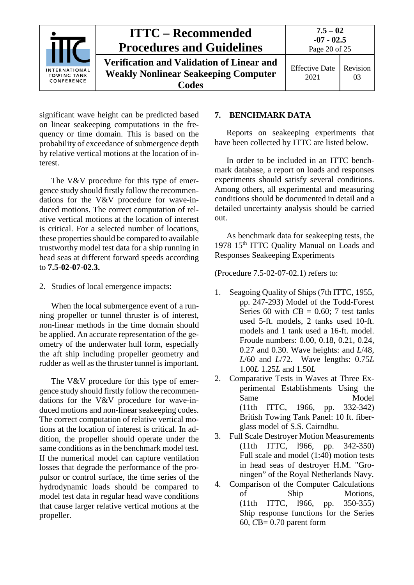

significant wave height can be predicted based on linear seakeeping computations in the frequency or time domain. This is based on the probability of exceedance of submergence depth by relative vertical motions at the location of interest.

The V&V procedure for this type of emergence study should firstly follow the recommendations for the V&V procedure for wave-induced motions. The correct computation of relative vertical motions at the location of interest is critical. For a selected number of locations, these properties should be compared to available trustworthy model test data for a ship running in head seas at different forward speeds according to **7.5-02-07-02.3.**

2. Studies of local emergence impacts:

When the local submergence event of a running propeller or tunnel thruster is of interest, non-linear methods in the time domain should be applied. An accurate representation of the geometry of the underwater hull form, especially the aft ship including propeller geometry and rudder as well as the thruster tunnel is important.

The V&V procedure for this type of emergence study should firstly follow the recommendations for the V&V procedure for wave-induced motions and non-linear seakeeping codes. The correct computation of relative vertical motions at the location of interest is critical. In addition, the propeller should operate under the same conditions as in the benchmark model test. If the numerical model can capture ventilation losses that degrade the performance of the propulsor or control surface, the time series of the hydrodynamic loads should be compared to model test data in regular head wave conditions that cause larger relative vertical motions at the propeller.

### <span id="page-19-0"></span>**7. BENCHMARK DATA**

Reports on seakeeping experiments that have been collected by ITTC are listed below.

In order to be included in an ITTC benchmark database, a report on loads and responses experiments should satisfy several conditions. Among others, all experimental and measuring conditions should be documented in detail and a detailed uncertainty analysis should be carried out.

As benchmark data for seakeeping tests, the 1978 15<sup>th</sup> ITTC Quality Manual on Loads and Responses Seakeeping Experiments

(Procedure 7.5-02-07-02.1) refers to:

- 1. Seagoing Quality of Ships (7th ITTC, 1955, pp. 247-293) Model of the Todd-Forest Series 60 with  $CB = 0.60$ ; 7 test tanks used 5-ft. models, 2 tanks used 10-ft. models and 1 tank used a 16-ft. model. Froude numbers: 0.00, 0.18, 0.21, 0.24, 0.27 and 0.30. Wave heights: and *L*/48, *L*/60 and *L*/72. Wave lengths: 0.75*L* 1.00*L* 1.25*L* and 1.50*L*
- 2. Comparative Tests in Waves at Three Experimental Establishments Using the Same Model (11th ITTC, 1966, pp. 332-342) British Towing Tank Panel: 10 ft. fiberglass model of S.S. Cairndhu.
- 3. Full Scale Destroyer Motion Measurements (11th ITTC, l966, pp. 342-350) Full scale and model (1:40) motion tests in head seas of destroyer H.M. "Groningen" of the Royal Netherlands Navy.
- 4. Comparison of the Computer Calculations of Ship Motions, (11th ITTC, l966, pp. 350-355) Ship response functions for the Series 60, *C*B= 0.70 parent form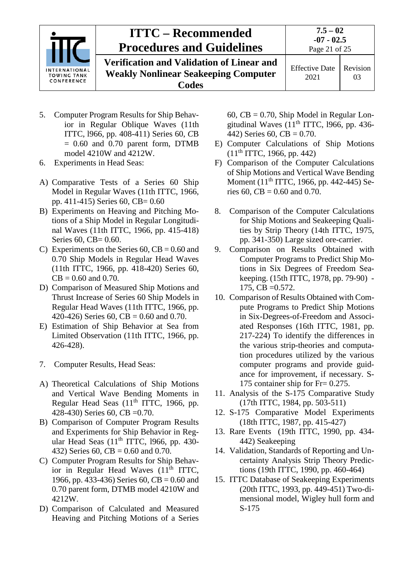

# **ITTC – Recommended Procedures and Guidelines**

**Codes**

**Verification and Validation of Linear and Weakly Nonlinear Seakeeping Computer** Effective Date 2021

- 5. Computer Program Results for Ship Behavior in Regular Oblique Waves (11th ITTC, l966, pp. 408-411) Series 60, *C*B  $= 0.60$  and 0.70 parent form, DTMB model 4210W and 4212W.
- 6. Experiments in Head Seas:
- A) Comparative Tests of a Series 60 Ship Model in Regular Waves (11th ITTC, 1966, pp. 411-415) Series 60, CB= 0.60
- B) Experiments on Heaving and Pitching Motions of a Ship Model in Regular Longitudinal Waves (11th ITTC, 1966, pp. 415-418) Series 60, CB= 0.60.
- C) Experiments on the Series  $60$ ,  $CB = 0.60$  and 0.70 Ship Models in Regular Head Waves (11th ITTC, 1966, pp. 418-420) Series 60,  $CB = 0.60$  and 0.70.
- D) Comparison of Measured Ship Motions and Thrust Increase of Series 60 Ship Models in Regular Head Waves (11th ITTC, 1966, pp. 420-426) Series 60, CB = 0.60 and 0.70.
- E) Estimation of Ship Behavior at Sea from Limited Observation (11th ITTC, 1966, pp. 426-428).
- 7. Computer Results, Head Seas:
- A) Theoretical Calculations of Ship Motions and Vertical Wave Bending Moments in Regular Head Seas (11<sup>th</sup> ITTC, 1966, pp. 428-430) Series 60, *C*B =0.70.
- B) Comparison of Computer Program Results and Experiments for Ship Behavior in Regular Head Seas (11<sup>th</sup> ITTC, 1966, pp. 430-432) Series 60, *C*B = 0.60 and 0.70.
- C) Computer Program Results for Ship Behavior in Regular Head Waves  $(11<sup>th</sup> ITTC,$ 1966, pp. 433-436) Series 60, *C*B = 0.60 and 0.70 parent form, DTMB model 4210W and 4212W.
- D) Comparison of Calculated and Measured Heaving and Pitching Motions of a Series

60,  $CB = 0.70$ , Ship Model in Regular Longitudinal Waves  $(11<sup>th</sup> ITTC, 1966, pp. 436-$ 442) Series 60, *C*B = 0.70.

- E) Computer Calculations of Ship Motions  $(11<sup>th</sup> ITTC, 1966, pp. 442)$
- F) Comparison of the Computer Calculations of Ship Motions and Vertical Wave Bending Moment (11<sup>th</sup> ITTC, 1966, pp. 442-445) Series 60,  $CB = 0.60$  and 0.70.
- 8. Comparison of the Computer Calculations for Ship Motions and Seakeeping Qualities by Strip Theory (14th ITTC, 1975, pp. 341-350) Large sized ore-carrier.
- 9. Comparison on Results Obtained with Computer Programs to Predict Ship Motions in Six Degrees of Freedom Seakeeping. (15th ITTC, 1978, pp. 79-90) - 175, CB =0.572.
- 10. Comparison of Results Obtained with Compute Programs to Predict Ship Motions in Six-Degrees-of-Freedom and Associated Responses (16th ITTC, 1981, pp. 217-224) To identify the differences in the various strip-theories and computation procedures utilized by the various computer programs and provide guidance for improvement, if necessary. S-175 container ship for Fr= 0.275.
- 11. Analysis of the S-175 Comparative Study (17th ITTC, 1984, pp. 503-511)
- 12. S-175 Comparative Model Experiments (18th ITTC, 1987, pp. 415-427)
- 13. Rare Events (19th ITTC, 1990, pp. 434- 442) Seakeeping
- 14. Validation, Standards of Reporting and Uncertainty Analysis Strip Theory Predictions (19th ITTC, 1990, pp. 460-464)
- 15. ITTC Database of Seakeeping Experiments (20th ITTC, 1993, pp. 449-451) Two-dimensional model, Wigley hull form and S-175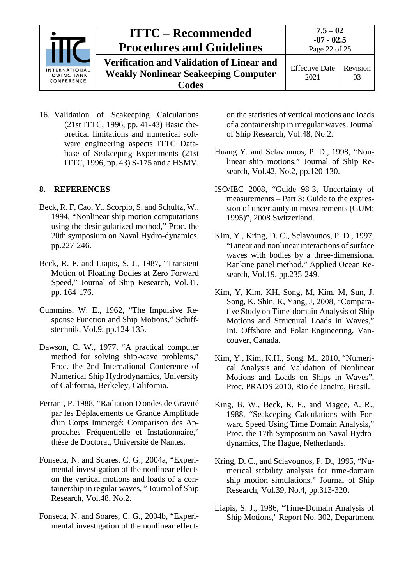

# **ITTC – Recommended Procedures and Guidelines**

**Verification and Validation of Linear and Weakly Nonlinear Seakeeping Computer Codes**

Effective Date 2021 Revision 03

16. Validation of Seakeeping Calculations (21st ITTC, 1996, pp. 41-43) Basic theoretical limitations and numerical software engineering aspects ITTC Database of Seakeeping Experiments (21st ITTC, 1996, pp. 43) S-175 and a HSMV.

# <span id="page-21-0"></span>**8. REFERENCES**

- Beck, R. F, Cao, Y., Scorpio, S. and Schultz, W., 1994, "Nonlinear ship motion computations using the desingularized method," Proc. the 20th symposium on Naval Hydro-dynamics, pp.227-246.
- Beck, R. F. and Liapis, S. J., 1987**,** "Transient Motion of Floating Bodies at Zero Forward Speed," Journal of Ship Research, Vol.31, pp. 164-176.
- Cummins, W. E., 1962, "The Impulsive Response Function and Ship Motions," Schiffstechnik, Vol.9, pp.124-135.
- Dawson, C. W., 1977, "A practical computer method for solving ship-wave problems," Proc. the 2nd International Conference of Numerical Ship Hydrodynamics, University of California, Berkeley, California.
- Ferrant, P. 1988, "Radiation D'ondes de Gravité par les Déplacements de Grande Amplitude d'un Corps Immergé: Comparison des Approaches Fréquentielle et Instationnaire," thése de Doctorat, Université de Nantes.
- Fonseca, N. and Soares, C. G., 2004a, "Experimental investigation of the nonlinear effects on the vertical motions and loads of a containership in regular waves, " Journal of Ship Research, Vol.48, No.2.
- Fonseca, N. and Soares, C. G., 2004b, "Experimental investigation of the nonlinear effects

on the statistics of vertical motions and loads of a containership in irregular waves.Journal of Ship Research, Vol.48, No.2.

- Huang Y. and Sclavounos, P. D., 1998, "Nonlinear ship motions," Journal of Ship Research, Vol.42, No.2, pp.120-130.
- ISO/IEC 2008, "Guide 98-3, Uncertainty of measurements – Part 3: Guide to the expression of uncertainty in measurements (GUM: 1995)", 2008 Switzerland.
- Kim, Y., Kring, D. C., Sclavounos, P. D., 1997, "Linear and nonlinear interactions of surface waves with bodies by a three-dimensional Rankine panel method," Applied Ocean Research, Vol.19, pp.235-249.
- Kim, Y, Kim, KH, Song, M, Kim, M, Sun, J, Song, K, Shin, K, Yang, J, 2008, "Comparative Study on Time-domain Analysis of Ship Motions and Structural Loads in Waves," Int. Offshore and Polar Engineering, Vancouver, Canada.
- Kim, Y., Kim, K.H., Song, M., 2010, "Numerical Analysis and Validation of Nonlinear Motions and Loads on Ships in Waves", Proc. PRADS 2010, Rio de Janeiro, Brasil.
- King, B. W., Beck, R. F., and Magee, A. R., 1988, "Seakeeping Calculations with Forward Speed Using Time Domain Analysis," Proc. the 17th Symposium on Naval Hydrodynamics, The Hague, Netherlands.
- Kring, D. C., and Sclavounos, P. D., 1995, "Numerical stability analysis for time-domain ship motion simulations," Journal of Ship Research, Vol.39, No.4, pp.313-320.
- Liapis, S. J., 1986, "Time-Domain Analysis of Ship Motions,'' Report No. 302, Department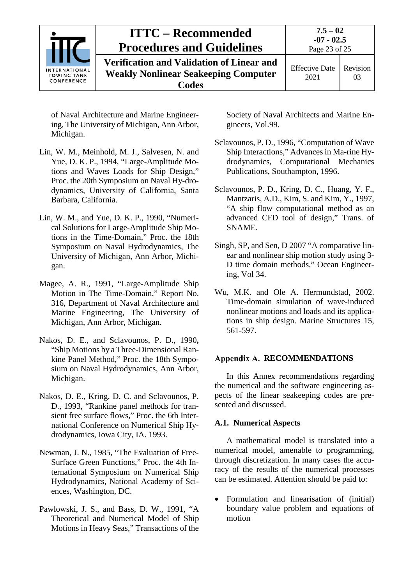| INTERNATIONAL<br><b>TOWING TANK</b><br>CONFERENCE | <b>ITTC – Recommended</b><br><b>Procedures and Guidelines</b>                                            | $7.5 - 02$<br>$-07 - 02.5$<br>Page 23 of 25 |                |
|---------------------------------------------------|----------------------------------------------------------------------------------------------------------|---------------------------------------------|----------------|
|                                                   | <b>Verification and Validation of Linear and</b><br><b>Weakly Nonlinear Seakeeping Computer</b><br>Codes | <b>Effective Date</b><br>2021               | Revision<br>03 |

of Naval Architecture and Marine Engineering, The University of Michigan, Ann Arbor, Michigan.

- Lin, W. M., Meinhold, M. J., Salvesen, N. and Yue, D. K. P., 1994, "Large-Amplitude Motions and Waves Loads for Ship Design," Proc. the 20th Symposium on Naval Hy-drodynamics, University of California, Santa Barbara, California.
- Lin, W. M., and Yue, D. K. P., 1990, "Numerical Solutions for Large-Amplitude Ship Motions in the Time-Domain," Proc. the 18th Symposium on Naval Hydrodynamics, The University of Michigan, Ann Arbor, Michigan.
- Magee, A. R., 1991, "Large-Amplitude Ship Motion in The Time-Domain," Report No. 316, Department of Naval Architecture and Marine Engineering, The University of Michigan, Ann Arbor, Michigan.
- Nakos, D. E., and Sclavounos, P. D., 1990**,** "Ship Motions by a Three-Dimensional Rankine Panel Method," Proc. the 18th Symposium on Naval Hydrodynamics, Ann Arbor, Michigan.
- Nakos, D. E., Kring, D. C. and Sclavounos, P. D., 1993, "Rankine panel methods for transient free surface flows," Proc. the 6th International Conference on Numerical Ship Hydrodynamics, Iowa City, IA. 1993.
- Newman, J. N., 1985, "The Evaluation of Free-Surface Green Functions," Proc. the 4th International Symposium on Numerical Ship Hydrodynamics, National Academy of Sciences, Washington, DC.
- Pawlowski, J. S., and Bass, D. W., 1991, "A Theoretical and Numerical Model of Ship Motions in Heavy Seas," Transactions of the

Society of Naval Architects and Marine Engineers, Vol.99.

- Sclavounos, P. D., 1996, "Computation of Wave Ship Interactions," Advances in Ma-rine Hydrodynamics, Computational Mechanics Publications, Southampton, 1996.
- Sclavounos, P. D., Kring, D. C., Huang, Y. F., Mantzaris, A.D., Kim, S. and Kim, Y., 1997, "A ship flow computational method as an advanced CFD tool of design," Trans. of SNAME.
- Singh, SP, and Sen, D 2007 "A comparative linear and nonlinear ship motion study using 3- D time domain methods," Ocean Engineering, Vol 34.
- Wu, M.K. and Ole A. Hermundstad, 2002. Time-domain simulation of wave-induced nonlinear motions and loads and its applications in ship design. Marine Structures 15, 561-597.

### <span id="page-22-0"></span>**Appendix A. RECOMMENDATIONS**

In this Annex recommendations regarding the numerical and the software engineering aspects of the linear seakeeping codes are presented and discussed.

#### <span id="page-22-1"></span>**A.1. Numerical Aspects**

A mathematical model is translated into a numerical model, amenable to programming, through discretization. In many cases the accuracy of the results of the numerical processes can be estimated. Attention should be paid to:

• Formulation and linearisation of (initial) boundary value problem and equations of motion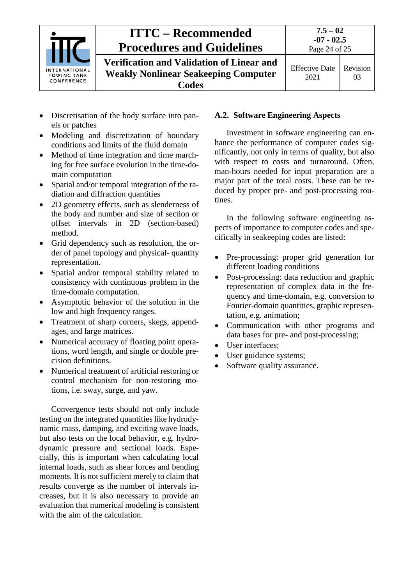

- Discretisation of the body surface into panels or patches
- Modeling and discretization of boundary conditions and limits of the fluid domain
- Method of time integration and time marching for free surface evolution in the time-domain computation
- Spatial and/or temporal integration of the radiation and diffraction quantities
- 2D geometry effects, such as slenderness of the body and number and size of section or offset intervals in 2D (section-based) method.
- Grid dependency such as resolution, the order of panel topology and physical- quantity representation.
- Spatial and/or temporal stability related to consistency with continuous problem in the time-domain computation.
- Asymptotic behavior of the solution in the low and high frequency ranges.
- Treatment of sharp corners, skegs, appendages, and large matrices.
- Numerical accuracy of floating point operations, word length, and single or double precision definitions.
- Numerical treatment of artificial restoring or control mechanism for non-restoring motions, i.e. sway, surge, and yaw.

Convergence tests should not only include testing on the integrated quantities like hydrodynamic mass, damping, and exciting wave loads, but also tests on the local behavior, e.g. hydrodynamic pressure and sectional loads. Especially, this is important when calculating local internal loads, such as shear forces and bending moments. It is not sufficient merely to claim that results converge as the number of intervals increases, but it is also necessary to provide an evaluation that numerical modeling is consistent with the aim of the calculation.

## <span id="page-23-0"></span>**A.2. Software Engineering Aspects**

Investment in software engineering can enhance the performance of computer codes significantly, not only in terms of quality, but also with respect to costs and turnaround. Often, man-hours needed for input preparation are a major part of the total costs. These can be reduced by proper pre- and post-processing routines.

In the following software engineering aspects of importance to computer codes and specifically in seakeeping codes are listed:

- Pre-processing: proper grid generation for different loading conditions
- Post-processing: data reduction and graphic representation of complex data in the frequency and time-domain, e.g. conversion to Fourier-domain quantities, graphic representation, e.g. animation;
- Communication with other programs and data bases for pre- and post-processing;
- User interfaces;
- User guidance systems;
- Software quality assurance.